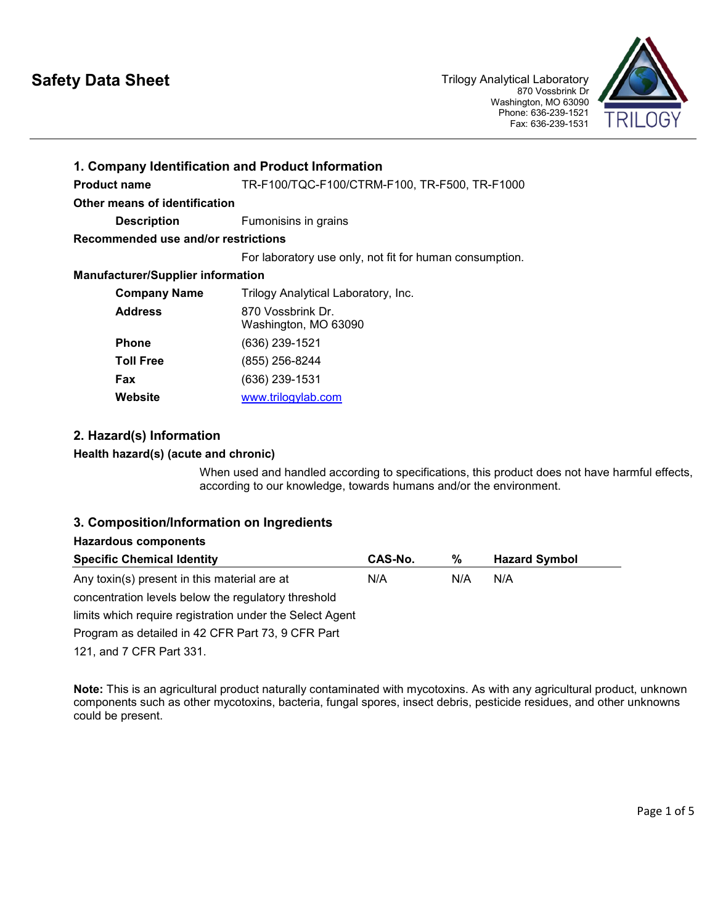# **Safety Data Sheet**



| 1. Company Identification and Product Information |                                                         |  |  |
|---------------------------------------------------|---------------------------------------------------------|--|--|
| <b>Product name</b>                               | TR-F100/TQC-F100/CTRM-F100, TR-F500, TR-F1000           |  |  |
| Other means of identification                     |                                                         |  |  |
| <b>Description</b>                                | Fumonisins in grains                                    |  |  |
| Recommended use and/or restrictions               |                                                         |  |  |
|                                                   | For laboratory use only, not fit for human consumption. |  |  |
| <b>Manufacturer/Supplier information</b>          |                                                         |  |  |
| <b>Company Name</b>                               | Trilogy Analytical Laboratory, Inc.                     |  |  |
| <b>Address</b>                                    | 870 Vossbrink Dr.<br>Washington, MO 63090               |  |  |
| <b>Phone</b>                                      | (636) 239-1521                                          |  |  |
| Toll Free                                         | (855) 256-8244                                          |  |  |
| Fax                                               | (636) 239-1531                                          |  |  |
| Website                                           | www.trilogylab.com                                      |  |  |

# **2. Hazard(s) Information**

# **Health hazard(s) (acute and chronic)**

When used and handled according to specifications, this product does not have harmful effects, according to our knowledge, towards humans and/or the environment.

# **3. Composition/Information on Ingredients**

# **Hazardous components**

| <b>Specific Chemical Identity</b>                        | CAS-No. | ℅   | <b>Hazard Symbol</b> |  |
|----------------------------------------------------------|---------|-----|----------------------|--|
| Any toxin(s) present in this material are at             | N/A     | N/A | N/A                  |  |
| concentration levels below the regulatory threshold      |         |     |                      |  |
| limits which require registration under the Select Agent |         |     |                      |  |
| Program as detailed in 42 CFR Part 73, 9 CFR Part        |         |     |                      |  |

121, and 7 CFR Part 331.

**Note:** This is an agricultural product naturally contaminated with mycotoxins. As with any agricultural product, unknown components such as other mycotoxins, bacteria, fungal spores, insect debris, pesticide residues, and other unknowns could be present.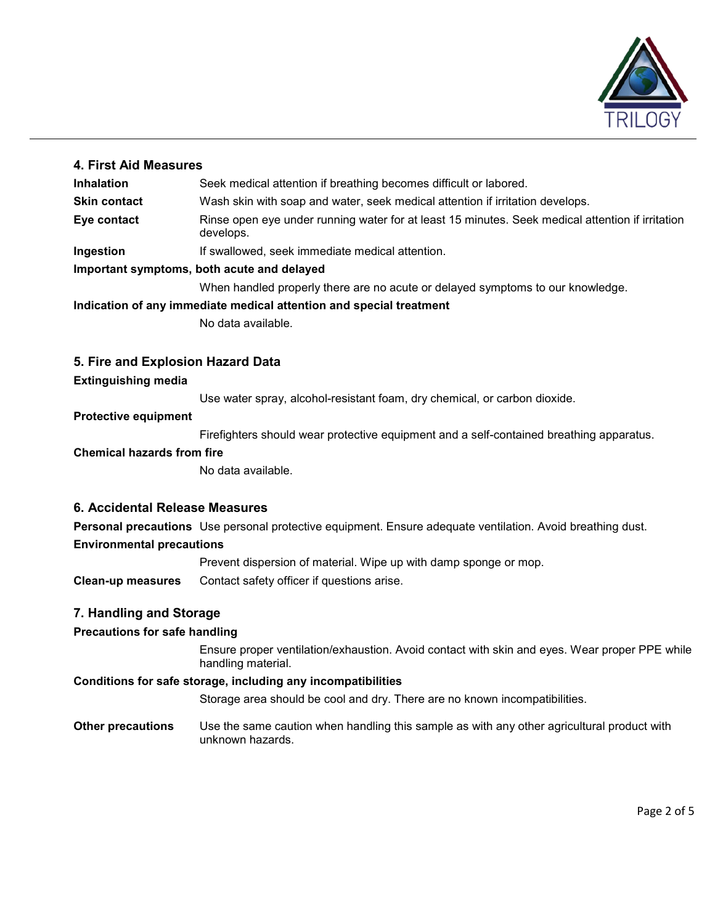

# **4. First Aid Measures**

| Inhalation                                 | Seek medical attention if breathing becomes difficult or labored.                                             |  |  |
|--------------------------------------------|---------------------------------------------------------------------------------------------------------------|--|--|
| <b>Skin contact</b>                        | Wash skin with soap and water, seek medical attention if irritation develops.                                 |  |  |
| Eye contact                                | Rinse open eye under running water for at least 15 minutes. Seek medical attention if irritation<br>develops. |  |  |
| Ingestion                                  | If swallowed, seek immediate medical attention.                                                               |  |  |
| Important symptoms, both acute and delayed |                                                                                                               |  |  |
|                                            | When handled properly there are no acute or delayed symptoms to our knowledge.                                |  |  |

**Indication of any immediate medical attention and special treatment**

No data available.

# **5. Fire and Explosion Hazard Data**

#### **Extinguishing media**

Use water spray, alcohol-resistant foam, dry chemical, or carbon dioxide.

# **Protective equipment**

Firefighters should wear protective equipment and a self-contained breathing apparatus.

#### **Chemical hazards from fire**

No data available.

# **6. Accidental Release Measures**

**Personal precautions** Use personal protective equipment. Ensure adequate ventilation. Avoid breathing dust.

#### **Environmental precautions**

Prevent dispersion of material. Wipe up with damp sponge or mop.

**Clean-up measures** Contact safety officer if questions arise.

# **7. Handling and Storage**

# **Precautions for safe handling**

Ensure proper ventilation/exhaustion. Avoid contact with skin and eyes. Wear proper PPE while handling material.

#### **Conditions for safe storage, including any incompatibilities**

Storage area should be cool and dry. There are no known incompatibilities.

**Other precautions** Use the same caution when handling this sample as with any other agricultural product with unknown hazards.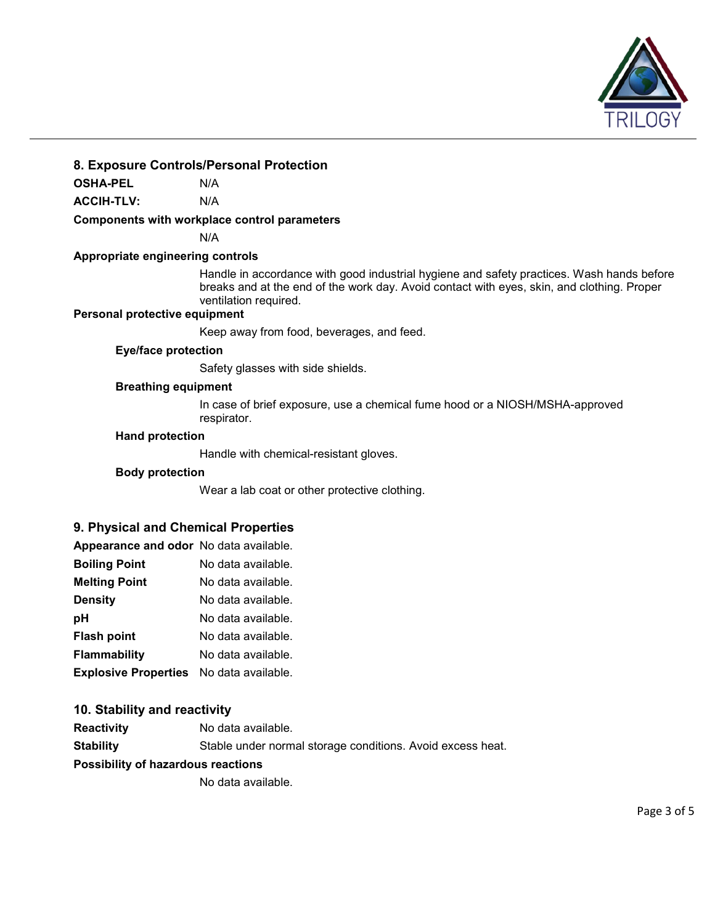

# **8. Exposure Controls/Personal Protection**

**OSHA-PEL** N/A

**ACCIH-TLV:** N/A

#### **Components with workplace control parameters**

N/A

#### **Appropriate engineering controls**

Handle in accordance with good industrial hygiene and safety practices. Wash hands before breaks and at the end of the work day. Avoid contact with eyes, skin, and clothing. Proper ventilation required.

# **Personal protective equipment**

Keep away from food, beverages, and feed.

#### **Eye/face protection**

Safety glasses with side shields.

#### **Breathing equipment**

In case of brief exposure, use a chemical fume hood or a NIOSH/MSHA-approved respirator.

#### **Hand protection**

Handle with chemical-resistant gloves.

#### **Body protection**

Wear a lab coat or other protective clothing.

#### **9. Physical and Chemical Properties**

| Appearance and odor No data available.         |                    |
|------------------------------------------------|--------------------|
| <b>Boiling Point</b>                           | No data available. |
| <b>Melting Point</b>                           | No data available. |
| Density                                        | No data available. |
| рH                                             | No data available. |
| Flash point                                    | No data available. |
| Flammability                                   | No data available. |
| <b>Explosive Properties</b> No data available. |                    |

#### **10. Stability and reactivity**

**Reactivity** No data available. **Stability** Stable under normal storage conditions. Avoid excess heat.

#### **Possibility of hazardous reactions**

No data available.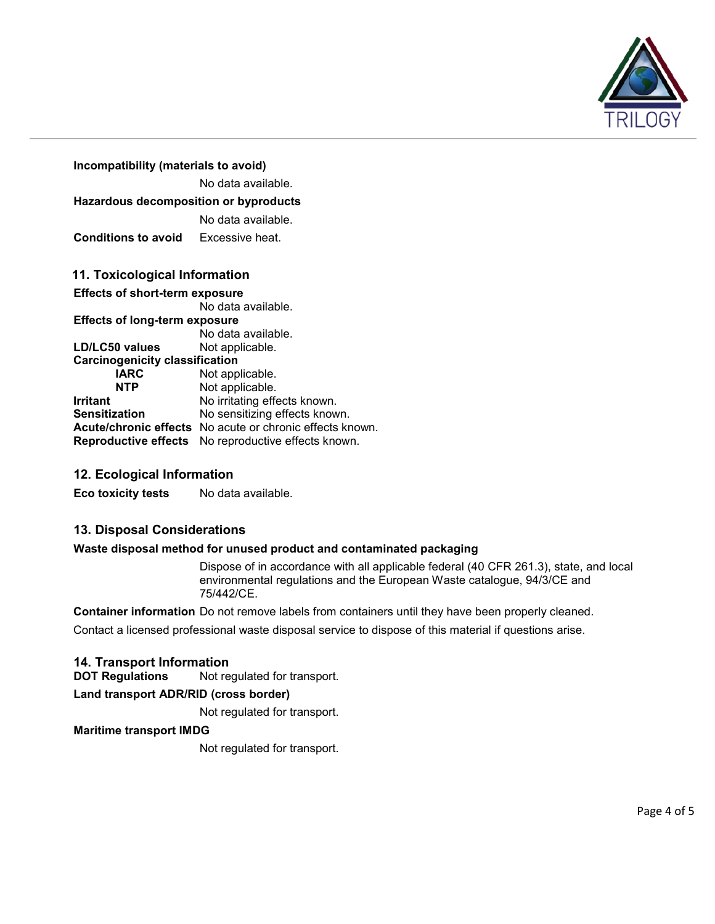

| Incompatibility (materials to avoid)                        |                    |  |  |  |  |
|-------------------------------------------------------------|--------------------|--|--|--|--|
|                                                             | No data available. |  |  |  |  |
| <b>Hazardous decomposition or byproducts</b>                |                    |  |  |  |  |
|                                                             | No data available. |  |  |  |  |
| <b>Conditions to avoid</b>                                  | Excessive heat.    |  |  |  |  |
| 11. Toxicological Information                               |                    |  |  |  |  |
| <b>Effects of short-term exposure</b><br>No data available. |                    |  |  |  |  |

#### **Effects of long-term exposure** No data available.<br>Not applicable. **LD/LC50 values Carcinogenicity classification IARC** Not applicable.<br> **NTP** Not applicable. Not applicable. **Irritant** No irritating effects known.<br> **Sensitization** No sensitizing effects know No sensitizing effects known. **Acute/chronic effects** No acute or chronic effects known. **Reproductive effects** No reproductive effects known.

# **12. Ecological Information**

**Eco toxicity tests** No data available.

# **13. Disposal Considerations**

#### **Waste disposal method for unused product and contaminated packaging**

Dispose of in accordance with all applicable federal (40 CFR 261.3), state, and local environmental regulations and the European Waste catalogue, 94/3/CE and 75/442/CE.

**Container information** Do not remove labels from containers until they have been properly cleaned. Contact a licensed professional waste disposal service to dispose of this material if questions arise.

# **14. Transport Information**

Not regulated for transport.

**Land transport ADR/RID (cross border)**

Not regulated for transport.

#### **Maritime transport IMDG**

Not regulated for transport.